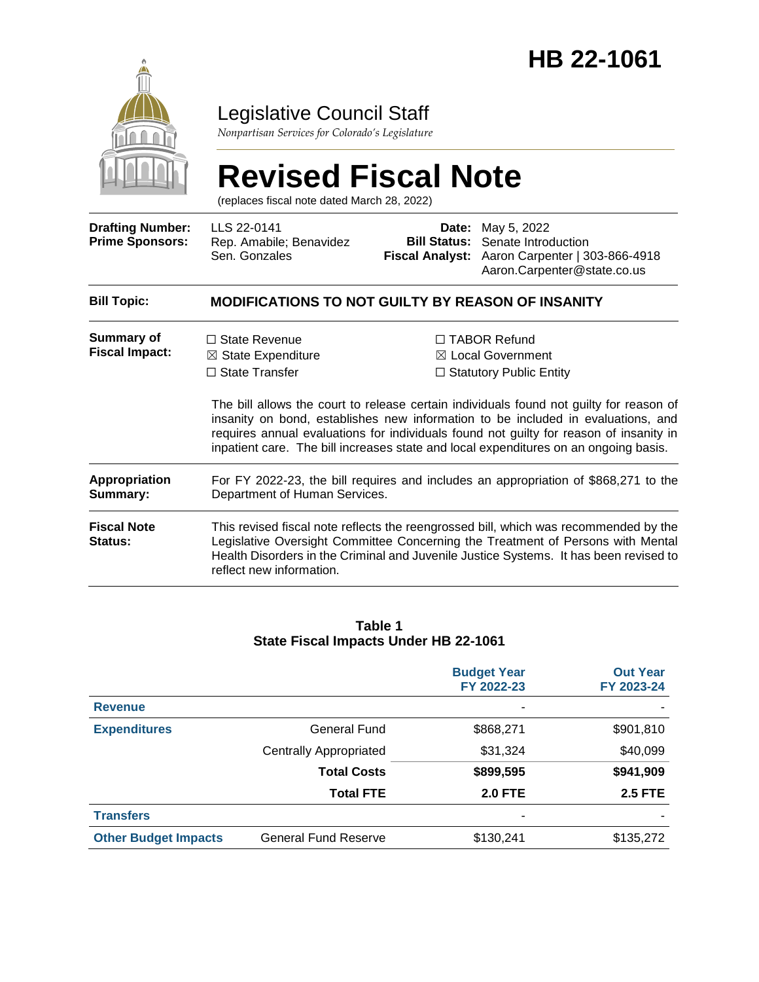

# Legislative Council Staff

*Nonpartisan Services for Colorado's Legislature*

# **Revised Fiscal Note**

(replaces fiscal note dated March 28, 2022)

| <b>Drafting Number:</b><br><b>Prime Sponsors:</b> | LLS 22-0141<br>Rep. Amabile; Benavidez<br>Sen. Gonzales                                                                                                                                                                                                                                      | <b>Bill Status:</b>                                                                                                                                                                                                                                                                                                                                                                                                                                    | <b>Date:</b> May 5, 2022<br>Senate Introduction<br>Fiscal Analyst: Aaron Carpenter   303-866-4918<br>Aaron.Carpenter@state.co.us |  |  |
|---------------------------------------------------|----------------------------------------------------------------------------------------------------------------------------------------------------------------------------------------------------------------------------------------------------------------------------------------------|--------------------------------------------------------------------------------------------------------------------------------------------------------------------------------------------------------------------------------------------------------------------------------------------------------------------------------------------------------------------------------------------------------------------------------------------------------|----------------------------------------------------------------------------------------------------------------------------------|--|--|
| <b>Bill Topic:</b>                                | <b>MODIFICATIONS TO NOT GUILTY BY REASON OF INSANITY</b>                                                                                                                                                                                                                                     |                                                                                                                                                                                                                                                                                                                                                                                                                                                        |                                                                                                                                  |  |  |
| Summary of<br><b>Fiscal Impact:</b>               | $\Box$ State Revenue<br>$\boxtimes$ State Expenditure<br>$\Box$ State Transfer                                                                                                                                                                                                               | $\Box$ TABOR Refund<br>$\boxtimes$ Local Government<br>$\Box$ Statutory Public Entity<br>The bill allows the court to release certain individuals found not guilty for reason of<br>insanity on bond, establishes new information to be included in evaluations, and<br>requires annual evaluations for individuals found not guilty for reason of insanity in<br>inpatient care. The bill increases state and local expenditures on an ongoing basis. |                                                                                                                                  |  |  |
| <b>Appropriation</b><br>Summary:                  | For FY 2022-23, the bill requires and includes an appropriation of \$868,271 to the<br>Department of Human Services.                                                                                                                                                                         |                                                                                                                                                                                                                                                                                                                                                                                                                                                        |                                                                                                                                  |  |  |
| <b>Fiscal Note</b><br>Status:                     | This revised fiscal note reflects the reengrossed bill, which was recommended by the<br>Legislative Oversight Committee Concerning the Treatment of Persons with Mental<br>Health Disorders in the Criminal and Juvenile Justice Systems. It has been revised to<br>reflect new information. |                                                                                                                                                                                                                                                                                                                                                                                                                                                        |                                                                                                                                  |  |  |

#### **Table 1 State Fiscal Impacts Under HB 22-1061**

|                             |                               | <b>Budget Year</b><br>FY 2022-23 | <b>Out Year</b><br>FY 2023-24 |
|-----------------------------|-------------------------------|----------------------------------|-------------------------------|
| <b>Revenue</b>              |                               |                                  |                               |
| <b>Expenditures</b>         | General Fund                  | \$868,271                        | \$901,810                     |
|                             | <b>Centrally Appropriated</b> | \$31,324                         | \$40,099                      |
|                             | <b>Total Costs</b>            | \$899,595                        | \$941,909                     |
|                             | <b>Total FTE</b>              | <b>2.0 FTE</b>                   | <b>2.5 FTE</b>                |
| <b>Transfers</b>            |                               |                                  |                               |
| <b>Other Budget Impacts</b> | <b>General Fund Reserve</b>   | \$130,241                        | \$135,272                     |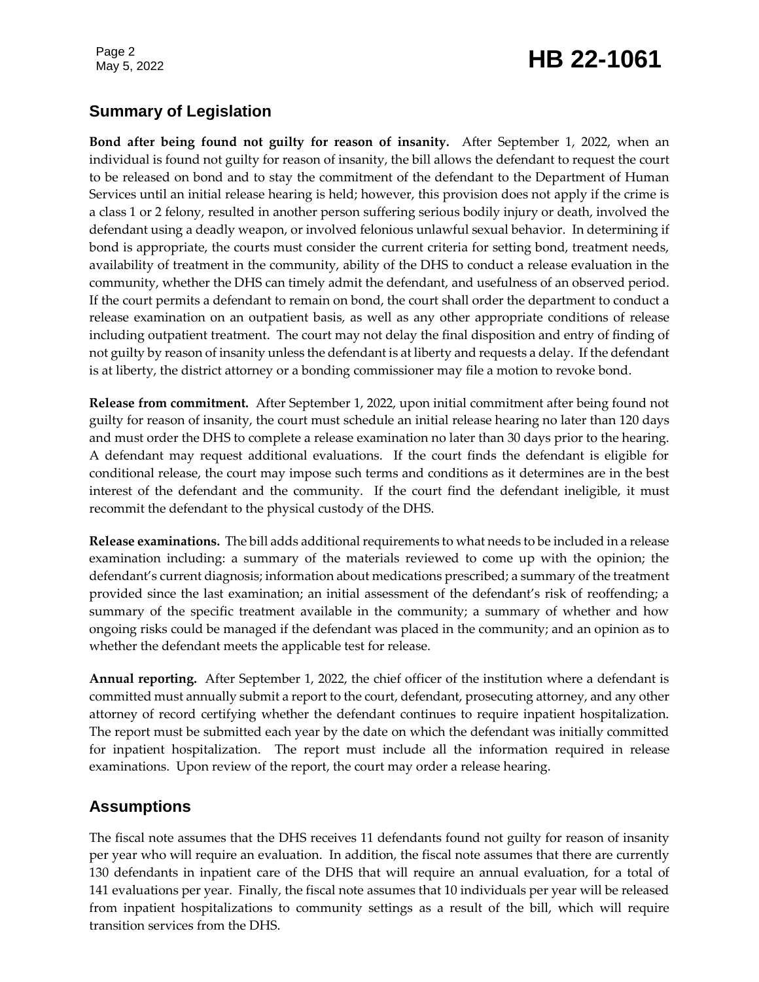# Page 2<br>May 5, 2022 **HB 22-1061**

# **Summary of Legislation**

**Bond after being found not guilty for reason of insanity.** After September 1, 2022, when an individual is found not guilty for reason of insanity, the bill allows the defendant to request the court to be released on bond and to stay the commitment of the defendant to the Department of Human Services until an initial release hearing is held; however, this provision does not apply if the crime is a class 1 or 2 felony, resulted in another person suffering serious bodily injury or death, involved the defendant using a deadly weapon, or involved felonious unlawful sexual behavior. In determining if bond is appropriate, the courts must consider the current criteria for setting bond, treatment needs, availability of treatment in the community, ability of the DHS to conduct a release evaluation in the community, whether the DHS can timely admit the defendant, and usefulness of an observed period. If the court permits a defendant to remain on bond, the court shall order the department to conduct a release examination on an outpatient basis, as well as any other appropriate conditions of release including outpatient treatment. The court may not delay the final disposition and entry of finding of not guilty by reason of insanity unless the defendant is at liberty and requests a delay. If the defendant is at liberty, the district attorney or a bonding commissioner may file a motion to revoke bond.

**Release from commitment.** After September 1, 2022, upon initial commitment after being found not guilty for reason of insanity, the court must schedule an initial release hearing no later than 120 days and must order the DHS to complete a release examination no later than 30 days prior to the hearing. A defendant may request additional evaluations. If the court finds the defendant is eligible for conditional release, the court may impose such terms and conditions as it determines are in the best interest of the defendant and the community. If the court find the defendant ineligible, it must recommit the defendant to the physical custody of the DHS.

**Release examinations.** The bill adds additional requirements to what needs to be included in a release examination including: a summary of the materials reviewed to come up with the opinion; the defendant's current diagnosis; information about medications prescribed; a summary of the treatment provided since the last examination; an initial assessment of the defendant's risk of reoffending; a summary of the specific treatment available in the community; a summary of whether and how ongoing risks could be managed if the defendant was placed in the community; and an opinion as to whether the defendant meets the applicable test for release.

**Annual reporting.** After September 1, 2022, the chief officer of the institution where a defendant is committed must annually submit a report to the court, defendant, prosecuting attorney, and any other attorney of record certifying whether the defendant continues to require inpatient hospitalization. The report must be submitted each year by the date on which the defendant was initially committed for inpatient hospitalization. The report must include all the information required in release examinations. Upon review of the report, the court may order a release hearing.

# **Assumptions**

The fiscal note assumes that the DHS receives 11 defendants found not guilty for reason of insanity per year who will require an evaluation. In addition, the fiscal note assumes that there are currently 130 defendants in inpatient care of the DHS that will require an annual evaluation, for a total of 141 evaluations per year. Finally, the fiscal note assumes that 10 individuals per year will be released from inpatient hospitalizations to community settings as a result of the bill, which will require transition services from the DHS.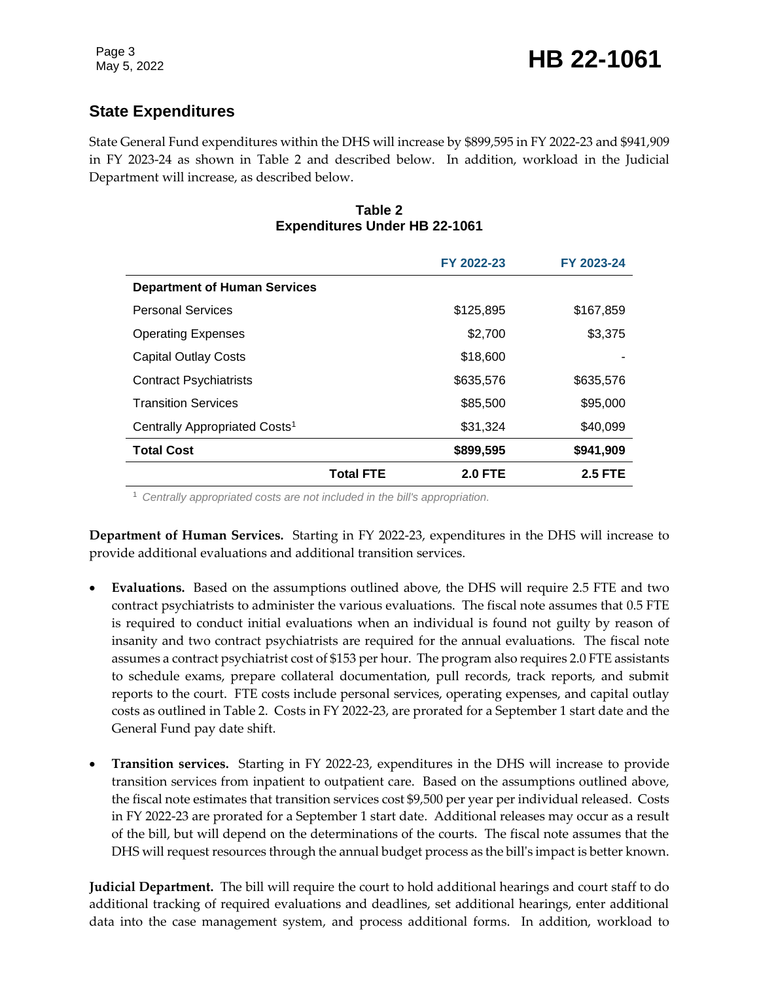# **State Expenditures**

State General Fund expenditures within the DHS will increase by \$899,595 in FY 2022-23 and \$941,909 in FY 2023-24 as shown in Table 2 and described below. In addition, workload in the Judicial Department will increase, as described below.

#### **Table 2 Expenditures Under HB 22-1061**

|                                           |                  | FY 2022-23     | FY 2023-24     |
|-------------------------------------------|------------------|----------------|----------------|
| <b>Department of Human Services</b>       |                  |                |                |
| <b>Personal Services</b>                  |                  | \$125,895      | \$167,859      |
| <b>Operating Expenses</b>                 |                  | \$2,700        | \$3,375        |
| <b>Capital Outlay Costs</b>               |                  | \$18,600       |                |
| <b>Contract Psychiatrists</b>             |                  | \$635,576      | \$635,576      |
| <b>Transition Services</b>                |                  | \$85,500       | \$95,000       |
| Centrally Appropriated Costs <sup>1</sup> |                  | \$31,324       | \$40,099       |
| <b>Total Cost</b>                         |                  | \$899,595      | \$941,909      |
|                                           | <b>Total FTE</b> | <b>2.0 FTE</b> | <b>2.5 FTE</b> |

<sup>1</sup> *Centrally appropriated costs are not included in the bill's appropriation.*

**Department of Human Services.** Starting in FY 2022-23, expenditures in the DHS will increase to provide additional evaluations and additional transition services.

- **Evaluations.** Based on the assumptions outlined above, the DHS will require 2.5 FTE and two contract psychiatrists to administer the various evaluations. The fiscal note assumes that 0.5 FTE is required to conduct initial evaluations when an individual is found not guilty by reason of insanity and two contract psychiatrists are required for the annual evaluations. The fiscal note assumes a contract psychiatrist cost of \$153 per hour. The program also requires 2.0 FTE assistants to schedule exams, prepare collateral documentation, pull records, track reports, and submit reports to the court. FTE costs include personal services, operating expenses, and capital outlay costs as outlined in Table 2. Costs in FY 2022-23, are prorated for a September 1 start date and the General Fund pay date shift.
- **Transition services.** Starting in FY 2022-23, expenditures in the DHS will increase to provide transition services from inpatient to outpatient care. Based on the assumptions outlined above, the fiscal note estimates that transition services cost \$9,500 per year per individual released. Costs in FY 2022-23 are prorated for a September 1 start date. Additional releases may occur as a result of the bill, but will depend on the determinations of the courts. The fiscal note assumes that the DHS will request resources through the annual budget process as the bill's impact is better known.

**Judicial Department.** The bill will require the court to hold additional hearings and court staff to do additional tracking of required evaluations and deadlines, set additional hearings, enter additional data into the case management system, and process additional forms. In addition, workload to